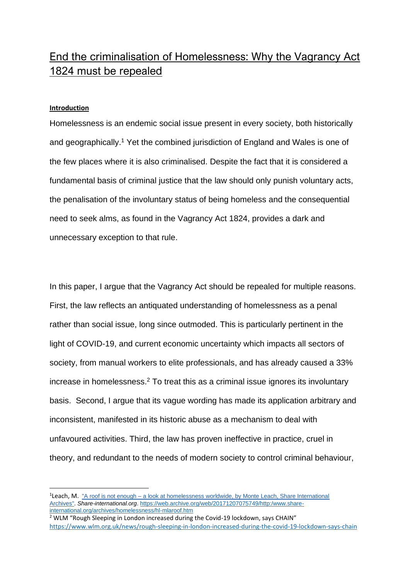# End the criminalisation of Homelessness: Why the Vagrancy Act 1824 must be repealed

#### **Introduction**

Homelessness is an endemic social issue present in every society, both historically and geographically.<sup>1</sup> Yet the combined jurisdiction of England and Wales is one of the few places where it is also criminalised. Despite the fact that it is considered a fundamental basis of criminal justice that the law should only punish voluntary acts, the penalisation of the involuntary status of being homeless and the consequential need to seek alms, as found in the Vagrancy Act 1824, provides a dark and unnecessary exception to that rule.

In this paper, I argue that the Vagrancy Act should be repealed for multiple reasons. First, the law reflects an antiquated understanding of homelessness as a penal rather than social issue, long since outmoded. This is particularly pertinent in the light of COVID-19, and current economic uncertainty which impacts all sectors of society, from manual workers to elite professionals, and has already caused a 33% increase in homelessness. <sup>2</sup> To treat this as a criminal issue ignores its involuntary basis. Second, I argue that its vague wording has made its application arbitrary and inconsistent, manifested in its historic abuse as a mechanism to deal with unfavoured activities. Third, the law has proven ineffective in practice, cruel in theory, and redundant to the needs of modern society to control criminal behaviour,

<sup>&</sup>lt;sup>1</sup>Leach, M. "A roof is not enough – a look at [homelessness](https://web.archive.org/web/20171207075749/http:/www.share-international.org/archives/homelessness/hl-mlaroof.htm) worldwide, by Monte Leach, Share International [Archives".](https://web.archive.org/web/20171207075749/http:/www.share-international.org/archives/homelessness/hl-mlaroof.htm) *Share-international.org*[. https://web.archive.org/web/20171207075749/http:/www.share](https://web.archive.org/web/20171207075749/http:/www.share-international.org/archives/homelessness/hl-mlaroof.htm)[international.org/archives/homelessness/hl-mlaroof.htm](https://web.archive.org/web/20171207075749/http:/www.share-international.org/archives/homelessness/hl-mlaroof.htm)

<sup>&</sup>lt;sup>2</sup> WLM "Rough Sleeping in London increased during the Covid-19 lockdown, says CHAIN" <https://www.wlm.org.uk/news/rough-sleeping-in-london-increased-during-the-covid-19-lockdown-says-chain>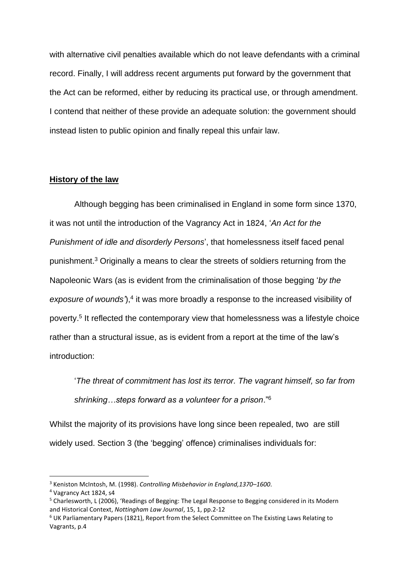with alternative civil penalties available which do not leave defendants with a criminal record. Finally, I will address recent arguments put forward by the government that the Act can be reformed, either by reducing its practical use, or through amendment. I contend that neither of these provide an adequate solution: the government should instead listen to public opinion and finally repeal this unfair law.

#### **History of the law**

Although begging has been criminalised in England in some form since 1370, it was not until the introduction of the Vagrancy Act in 1824, '*An Act for the Punishment of idle and disorderly Persons*', that homelessness itself faced penal punishment. <sup>3</sup> Originally a means to clear the streets of soldiers returning from the Napoleonic Wars (as is evident from the criminalisation of those begging '*by the*  exposure of wounds'),<sup>4</sup> it was more broadly a response to the increased visibility of poverty. 5 It reflected the contemporary view that homelessness was a lifestyle choice rather than a structural issue, as is evident from a report at the time of the law's introduction:

'*The threat of commitment has lost its terror. The vagrant himself, so far from shrinking…steps forward as a volunteer for a prison*."<sup>6</sup>

Whilst the majority of its provisions have long since been repealed, two are still widely used. Section 3 (the 'begging' offence) criminalises individuals for:

<sup>3</sup> Keniston McIntosh, M. (1998). *Controlling Misbehavior in England,1370–1600*.

<sup>4</sup> Vagrancy Act 1824, s4

<sup>&</sup>lt;sup>5</sup> Charlesworth, L (2006), 'Readings of Begging: The Legal Response to Begging considered in its Modern and Historical Context, *Nottingham Law Journal*, 15, 1, pp.2-12

<sup>6</sup> UK Parliamentary Papers (1821), Report from the Select Committee on The Existing Laws Relating to Vagrants, p.4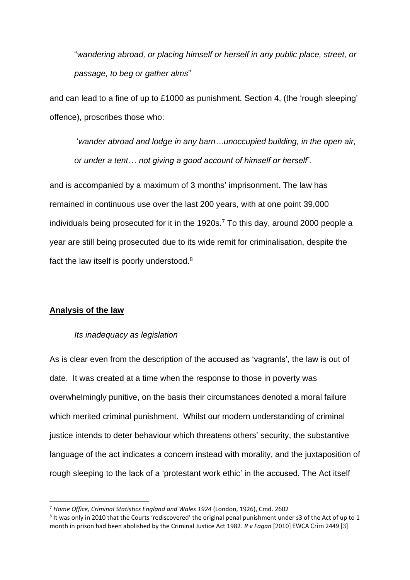"*wandering abroad, or placing himself or herself in any public place, street, or passage, to beg or gather alms*"

and can lead to a fine of up to £1000 as punishment. Section 4, (the 'rough sleeping' offence), proscribes those who:

'*wander abroad and lodge in any barn…unoccupied building, in the open air, or under a tent… not giving a good account of himself or herself'*.

and is accompanied by a maximum of 3 months' imprisonment. The law has remained in continuous use over the last 200 years, with at one point 39,000 individuals being prosecuted for it in the 1920s. <sup>7</sup> To this day, around 2000 people a year are still being prosecuted due to its wide remit for criminalisation, despite the fact the law itself is poorly understood.<sup>8</sup>

#### **Analysis of the law**

#### *Its inadequacy as legislation*

As is clear even from the description of the accused as 'vagrants', the law is out of date. It was created at a time when the response to those in poverty was overwhelmingly punitive, on the basis their circumstances denoted a moral failure which merited criminal punishment. Whilst our modern understanding of criminal justice intends to deter behaviour which threatens others' security, the substantive language of the act indicates a concern instead with morality, and the juxtaposition of rough sleeping to the lack of a 'protestant work ethic' in the accused. The Act itself

<sup>7</sup> *Home Office, Criminal Statistics England and Wales 1924* (London, 1926), Cmd. 2602

 $8$  It was only in 2010 that the Courts 'rediscovered' the original penal punishment under s3 of the Act of up to 1 month in prison had been abolished by the Criminal Justice Act 1982. *R v Fagan* [2010] EWCA Crim 2449 [3]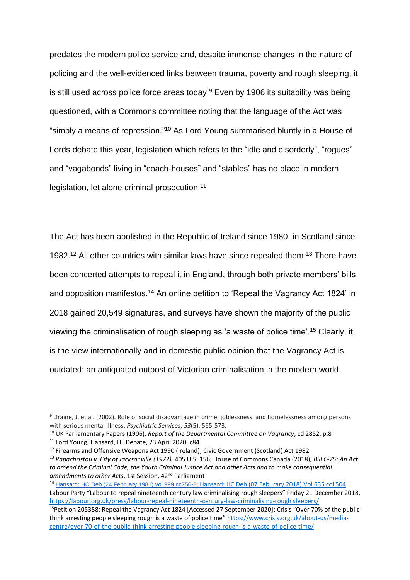predates the modern police service and, despite immense changes in the nature of policing and the well-evidenced links between trauma, poverty and rough sleeping, it is still used across police force areas today.<sup>9</sup> Even by 1906 its suitability was being questioned, with a Commons committee noting that the language of the Act was "simply a means of repression."<sup>10</sup> As Lord Young summarised bluntly in a House of Lords debate this year, legislation which refers to the "idle and disorderly", "rogues" and "vagabonds" living in "coach-houses" and "stables" has no place in modern legislation, let alone criminal prosecution.<sup>11</sup>

The Act has been abolished in the Republic of Ireland since 1980, in Scotland since 1982. <sup>12</sup> All other countries with similar laws have since repealed them: <sup>13</sup> There have been concerted attempts to repeal it in England, through both private members' bills and opposition manifestos.<sup>14</sup> An online petition to 'Repeal the Vagrancy Act 1824' in 2018 gained 20,549 signatures, and surveys have shown the majority of the public viewing the criminalisation of rough sleeping as 'a waste of police time'.<sup>15</sup> Clearly, it is the view internationally and in domestic public opinion that the Vagrancy Act is outdated: an antiquated outpost of Victorian criminalisation in the modern world.

<sup>&</sup>lt;sup>9</sup> Draine, J. et al. (2002). Role of social disadvantage in crime, joblessness, and homelessness among persons with serious mental illness. *Psychiatric Services*, *53*(5), 565-573.

<sup>10</sup> UK Parliamentary Papers (1906), *Report of the Departmental Committee on Vagrancy*, cd 2852, p.8

<sup>11</sup> Lord Young, Hansard, HL Debate, 23 April 2020, c84

<sup>&</sup>lt;sup>12</sup> Firearms and Offensive Weapons Act 1990 (Ireland); Civic Government (Scotland) Act 1982

<sup>13</sup> *Papachristou v. City of Jacksonville (1972),* 405 U.S. 156; House of Commons Canada (2018), *Bill C-75: An Act to amend the Criminal Code, the Youth Criminal Justice Act and other Acts and to make consequential*  amendments to other Acts, 1st Session, 42<sup>nd</sup> Parliament

<sup>14</sup> [Hansard:](https://api.parliament.uk/historic-hansard/commons/1981/feb/24/vagrancy-offences-repeal) HC Deb (24 February 1981) vol 999 cc756-8; [Hansard: HC Deb \(07 Feburary 2018\) Vol 635 cc1504](https://hansard.parliament.uk/commons/2018-02-07/debates/013751EE-843A-4AA5-A075-8FE742FE69BA/TaylorReview#contribution-E91D3D3C-F99E-4340-8E76-8EBEA8B4854C) Labour Party "Labour to repeal nineteenth century law criminalising rough sleepers" Friday 21 December 2018, [https://labour.org.uk/press/labour-repeal-nineteenth-century-law-criminalising-rough sleepers/](https://labour.org.uk/press/labour-repeal-nineteenth-century-law-criminalising-rough-sleepers/)

<sup>15</sup>Petition 205388: Repeal the Vagrancy Act 1824 [Accessed 27 September 2020]; Crisis "Over 70% of the public think arresting people sleeping rough is a waste of police time" [https://www.crisis.org.uk/about-us/media](https://www.crisis.org.uk/about-us/media-centre/over-70-of-the-public-think-arresting-people-sleeping-rough-is-a-waste-of-police-time/)[centre/over-70-of-the-public-think-arresting-people-sleeping-rough-is-a-waste-of-police-time/](https://www.crisis.org.uk/about-us/media-centre/over-70-of-the-public-think-arresting-people-sleeping-rough-is-a-waste-of-police-time/)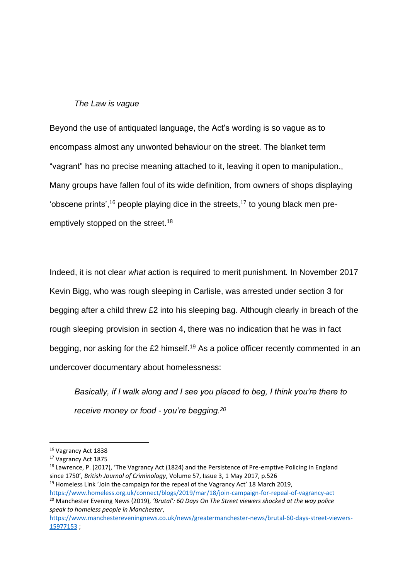## *The Law is vague*

Beyond the use of antiquated language, the Act's wording is so vague as to encompass almost any unwonted behaviour on the street. The blanket term "vagrant" has no precise meaning attached to it, leaving it open to manipulation., Many groups have fallen foul of its wide definition, from owners of shops displaying 'obscene prints',<sup>16</sup> people playing dice in the streets,<sup>17</sup> to young black men preemptively stopped on the street.<sup>18</sup>

Indeed, it is not clear *what* action is required to merit punishment. In November 2017 Kevin Bigg, who was rough sleeping in Carlisle, was arrested under section 3 for begging after a child threw £2 into his sleeping bag. Although clearly in breach of the rough sleeping provision in section 4, there was no indication that he was in fact begging, nor asking for the £2 himself.<sup>19</sup> As a police officer recently commented in an undercover documentary about homelessness:

*Basically, if I walk along and I see you placed to beg, I think you're there to receive money or food - you're begging.<sup>20</sup>*

<sup>16</sup> Vagrancy Act 1838

<sup>17</sup> Vagrancy Act 1875

<sup>&</sup>lt;sup>18</sup> Lawrence, P. (2017), 'The Vagrancy Act (1824) and the Persistence of Pre-emptive Policing in England since 1750', *British Journal of Criminology*, Volume 57, Issue 3, 1 May 2017, p.526 <sup>19</sup> Homeless Link 'Join the campaign for the repeal of the Vagrancy Act' 18 March 2019,

<https://www.homeless.org.uk/connect/blogs/2019/mar/18/join-campaign-for-repeal-of-vagrancy-act> <sup>20</sup> Manchester Evening News (2019), *'Brutal': 60 Days On The Street viewers shocked at the way police speak to homeless people in Manchester*,

[https://www.manchestereveningnews.co.uk/news/greatermanchester-news/brutal-60-days-street-viewers-](https://www.manchestereveningnews.co.uk/news/greatermanchester-news/brutal-60-days-street-viewers-15977153)[15977153](https://www.manchestereveningnews.co.uk/news/greatermanchester-news/brutal-60-days-street-viewers-15977153) ;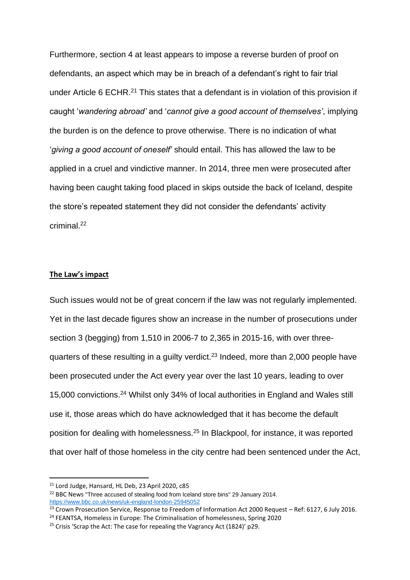Furthermore, section 4 at least appears to impose a reverse burden of proof on defendants, an aspect which may be in breach of a defendant's right to fair trial under Article 6 ECHR.<sup>21</sup> This states that a defendant is in violation of this provision if caught '*wandering abroad'* and '*cannot give a good account of themselves'*, implying the burden is on the defence to prove otherwise. There is no indication of what '*giving a good account of oneself'* should entail. This has allowed the law to be applied in a cruel and vindictive manner. In 2014, three men were prosecuted after having been caught taking food placed in skips outside the back of Iceland, despite the store's repeated statement they did not consider the defendants' activity criminal<sup>22</sup>

#### **The Law's impact**

Such issues would not be of great concern if the law was not regularly implemented. Yet in the last decade figures show an increase in the number of prosecutions under section 3 (begging) from 1,510 in 2006-7 to 2,365 in 2015-16, with over threequarters of these resulting in a guilty verdict.<sup>23</sup> Indeed, more than 2,000 people have been prosecuted under the Act every year over the last 10 years, leading to over 15,000 convictions. <sup>24</sup> Whilst only 34% of local authorities in England and Wales still use it, those areas which do have acknowledged that it has become the default position for dealing with homelessness.<sup>25</sup> In Blackpool, for instance, it was reported that over half of those homeless in the city centre had been sentenced under the Act,

<sup>21</sup> Lord Judge, Hansard, HL Deb, 23 April 2020, c85

<sup>&</sup>lt;sup>22</sup> BBC News "Three accused of stealing food from Iceland store bins" 29 January 2014. <https://www.bbc.co.uk/news/uk-england-london-25945052>

 $\frac{23}{23}$  Crown Prosecution Service, Response to Freedom of Information Act 2000 Request – Ref: 6127, 6 July 2016.

<sup>&</sup>lt;sup>24</sup> FEANTSA, Homeless in Europe: The Criminalisation of homelessness, Spring 2020

 $25$  Crisis 'Scrap the Act: The case for repealing the Vagrancy Act (1824)' p29.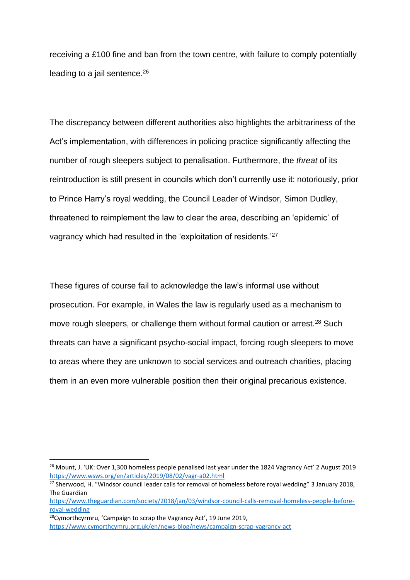receiving a £100 fine and ban from the town centre, with failure to comply potentially leading to a jail sentence.<sup>26</sup>

The discrepancy between different authorities also highlights the arbitrariness of the Act's implementation, with differences in policing practice significantly affecting the number of rough sleepers subject to penalisation. Furthermore, the *threat* of its reintroduction is still present in councils which don't currently use it: notoriously, prior to Prince Harry's royal wedding, the Council Leader of Windsor, Simon Dudley, threatened to reimplement the law to clear the area, describing an 'epidemic' of vagrancy which had resulted in the 'exploitation of residents.'<sup>27</sup>

These figures of course fail to acknowledge the law's informal use without prosecution. For example, in Wales the law is regularly used as a mechanism to move rough sleepers, or challenge them without formal caution or arrest.<sup>28</sup> Such threats can have a significant psycho-social impact, forcing rough sleepers to move to areas where they are unknown to social services and outreach charities, placing them in an even more vulnerable position then their original precarious existence.

<sup>&</sup>lt;sup>26</sup> Mount, J. 'UK: Over 1,300 homeless people penalised last year under the 1824 Vagrancy Act' 2 August 2019 <https://www.wsws.org/en/articles/2019/08/02/vagr-a02.html>

<sup>&</sup>lt;sup>27</sup> Sherwood, H. "Windsor council leader calls for removal of homeless before royal wedding" 3 January 2018, The Guardian

[https://www.theguardian.com/society/2018/jan/03/windsor-council-calls-removal-homeless-people-before](https://www.theguardian.com/society/2018/jan/03/windsor-council-calls-removal-homeless-people-before-royal-wedding)[royal-wedding](https://www.theguardian.com/society/2018/jan/03/windsor-council-calls-removal-homeless-people-before-royal-wedding)

<sup>28</sup>Cymorthcyrmru, 'Campaign to scrap the Vagrancy Act', 19 June 2019, <https://www.cymorthcymru.org.uk/en/news-blog/news/campaign-scrap-vagrancy-act>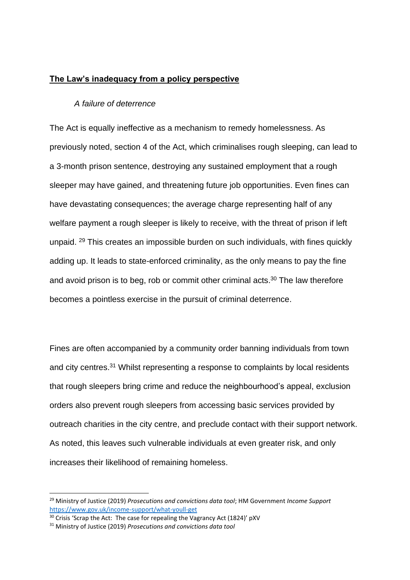## **The Law's inadequacy from a policy perspective**

#### *A failure of deterrence*

The Act is equally ineffective as a mechanism to remedy homelessness. As previously noted, section 4 of the Act, which criminalises rough sleeping, can lead to a 3-month prison sentence, destroying any sustained employment that a rough sleeper may have gained, and threatening future job opportunities. Even fines can have devastating consequences; the average charge representing half of any welfare payment a rough sleeper is likely to receive, with the threat of prison if left unpaid. <sup>29</sup> This creates an impossible burden on such individuals, with fines quickly adding up. It leads to state-enforced criminality, as the only means to pay the fine and avoid prison is to beg, rob or commit other criminal acts. <sup>30</sup> The law therefore becomes a pointless exercise in the pursuit of criminal deterrence.

Fines are often accompanied by a community order banning individuals from town and city centres.<sup>31</sup> Whilst representing a response to complaints by local residents that rough sleepers bring crime and reduce the neighbourhood's appeal, exclusion orders also prevent rough sleepers from accessing basic services provided by outreach charities in the city centre, and preclude contact with their support network. As noted, this leaves such vulnerable individuals at even greater risk, and only increases their likelihood of remaining homeless.

<sup>29</sup> Ministry of Justice (2019) *Prosecutions and convictions data tool*; HM Government *Income Support* <https://www.gov.uk/income-support/what-youll-get>

 $30$  Crisis 'Scrap the Act: The case for repealing the Vagrancy Act (1824)' pXV

<sup>31</sup> Ministry of Justice (2019) *Prosecutions and convictions data tool*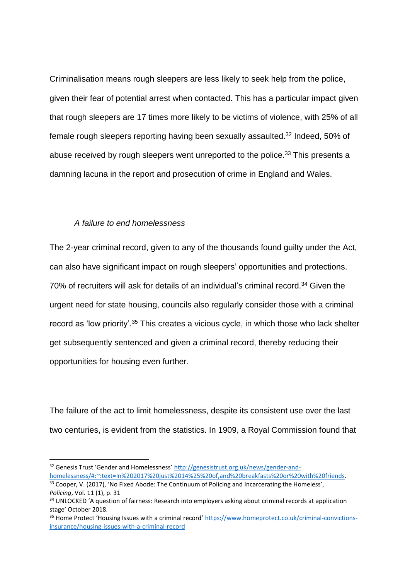Criminalisation means rough sleepers are less likely to seek help from the police, given their fear of potential arrest when contacted. This has a particular impact given that rough sleepers are 17 times more likely to be victims of violence, with 25% of all female rough sleepers reporting having been sexually assaulted.<sup>32</sup> Indeed, 50% of abuse received by rough sleepers went unreported to the police.<sup>33</sup> This presents a damning lacuna in the report and prosecution of crime in England and Wales.

## *A failure to end homelessness*

The 2-year criminal record, given to any of the thousands found guilty under the Act, can also have significant impact on rough sleepers' opportunities and protections. 70% of recruiters will ask for details of an individual's criminal record.<sup>34</sup> Given the urgent need for state housing, councils also regularly consider those with a criminal record as 'low priority'.<sup>35</sup> This creates a vicious cycle, in which those who lack shelter get subsequently sentenced and given a criminal record, thereby reducing their opportunities for housing even further.

The failure of the act to limit homelessness, despite its consistent use over the last two centuries, is evident from the statistics. In 1909, a Royal Commission found that

<sup>32</sup> Genesis Trust 'Gender and Homelessness' [http://genesistrust.org.uk/news/gender-and](http://genesistrust.org.uk/news/gender-and-homelessness/#:~:text=In%202017%20just%2014%25%20of,and%20breakfasts%20or%20with%20friends)[homelessness/#:~:text=In%202017%20just%2014%25%20of,and%20breakfasts%20or%20with%20friends.](http://genesistrust.org.uk/news/gender-and-homelessness/#:~:text=In%202017%20just%2014%25%20of,and%20breakfasts%20or%20with%20friends)

<sup>&</sup>lt;sup>33</sup> Cooper, V. (2017), 'No Fixed Abode: The Continuum of Policing and Incarcerating the Homeless', *Policing*, Vol. 11 (1), p. 31

<sup>&</sup>lt;sup>34</sup> UNLOCKED 'A question of fairness: Research into employers asking about criminal records at application stage' October 2018.

<sup>35</sup> Home Protect 'Housing Issues with a criminal record' [https://www.homeprotect.co.uk/criminal-convictions](https://www.homeprotect.co.uk/criminal-convictions-insurance/housing-issues-with-a-criminal-record)[insurance/housing-issues-with-a-criminal-record](https://www.homeprotect.co.uk/criminal-convictions-insurance/housing-issues-with-a-criminal-record)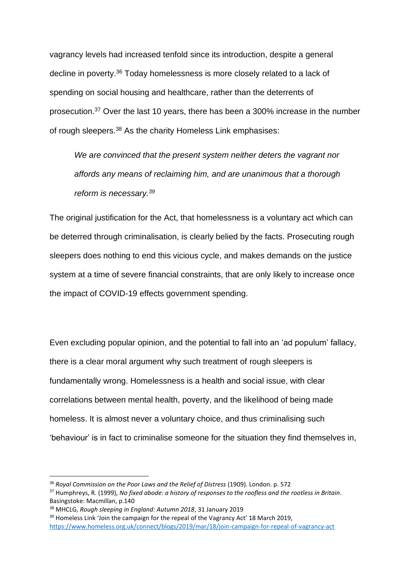vagrancy levels had increased tenfold since its introduction, despite a general decline in poverty.<sup>36</sup> Today homelessness is more closely related to a lack of spending on social housing and healthcare, rather than the deterrents of prosecution. <sup>37</sup> Over the last 10 years, there has been a 300% increase in the number of rough sleepers.<sup>38</sup> As the charity Homeless Link emphasises:

*We are convinced that the present system neither deters the vagrant nor affords any means of reclaiming him, and are unanimous that a thorough reform is necessary.<sup>39</sup>*

The original justification for the Act, that homelessness is a voluntary act which can be deterred through criminalisation, is clearly belied by the facts. Prosecuting rough sleepers does nothing to end this vicious cycle, and makes demands on the justice system at a time of severe financial constraints, that are only likely to increase once the impact of COVID-19 effects government spending.

Even excluding popular opinion, and the potential to fall into an 'ad populum' fallacy, there is a clear moral argument why such treatment of rough sleepers is fundamentally wrong. Homelessness is a health and social issue, with clear correlations between mental health, poverty, and the likelihood of being made homeless. It is almost never a voluntary choice, and thus criminalising such 'behaviour' is in fact to criminalise someone for the situation they find themselves in,

<sup>&</sup>lt;sup>36</sup> Royal Commission on the Poor Laws and the Relief of Distress (1909). London. p. 572

<sup>37</sup> Humphreys, R. (1999), *No fixed abode: a history of responses to the roofless and the rootless in Britain*. Basingstoke: Macmillan, p.140

<sup>38</sup> MHCLG, *Rough sleeping in England: Autumn 2018*, 31 January 2019

 $39$  Homeless Link 'Join the campaign for the repeal of the Vagrancy Act' 18 March 2019, <https://www.homeless.org.uk/connect/blogs/2019/mar/18/join-campaign-for-repeal-of-vagrancy-act>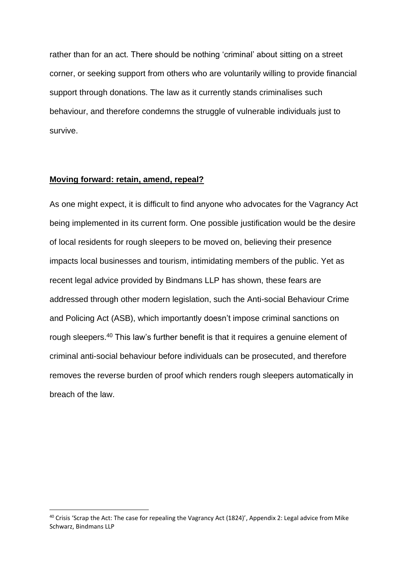rather than for an act. There should be nothing 'criminal' about sitting on a street corner, or seeking support from others who are voluntarily willing to provide financial support through donations. The law as it currently stands criminalises such behaviour, and therefore condemns the struggle of vulnerable individuals just to survive.

#### **Moving forward: retain, amend, repeal?**

As one might expect, it is difficult to find anyone who advocates for the Vagrancy Act being implemented in its current form. One possible justification would be the desire of local residents for rough sleepers to be moved on, believing their presence impacts local businesses and tourism, intimidating members of the public. Yet as recent legal advice provided by Bindmans LLP has shown, these fears are addressed through other modern legislation, such the Anti-social Behaviour Crime and Policing Act (ASB), which importantly doesn't impose criminal sanctions on rough sleepers.<sup>40</sup> This law's further benefit is that it requires a genuine element of criminal anti-social behaviour before individuals can be prosecuted, and therefore removes the reverse burden of proof which renders rough sleepers automatically in breach of the law.

<sup>40</sup> Crisis 'Scrap the Act: The case for repealing the Vagrancy Act (1824)', Appendix 2: Legal advice from Mike Schwarz, Bindmans LLP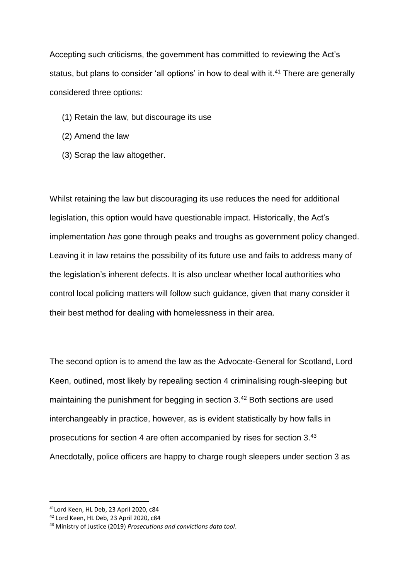Accepting such criticisms, the government has committed to reviewing the Act's status, but plans to consider 'all options' in how to deal with it.<sup>41</sup> There are generally considered three options:

- (1) Retain the law, but discourage its use
- (2) Amend the law
- (3) Scrap the law altogether.

Whilst retaining the law but discouraging its use reduces the need for additional legislation, this option would have questionable impact. Historically, the Act's implementation *has* gone through peaks and troughs as government policy changed. Leaving it in law retains the possibility of its future use and fails to address many of the legislation's inherent defects. It is also unclear whether local authorities who control local policing matters will follow such guidance, given that many consider it their best method for dealing with homelessness in their area.

The second option is to amend the law as the Advocate-General for Scotland, Lord Keen, outlined, most likely by repealing section 4 criminalising rough-sleeping but maintaining the punishment for begging in section 3.<sup>42</sup> Both sections are used interchangeably in practice, however, as is evident statistically by how falls in prosecutions for section 4 are often accompanied by rises for section 3.43 Anecdotally, police officers are happy to charge rough sleepers under section 3 as

<sup>41</sup>Lord Keen, HL Deb, 23 April 2020, c84

<sup>42</sup> Lord Keen, HL Deb, 23 April 2020, c84

<sup>43</sup> Ministry of Justice (2019) *Prosecutions and convictions data tool*.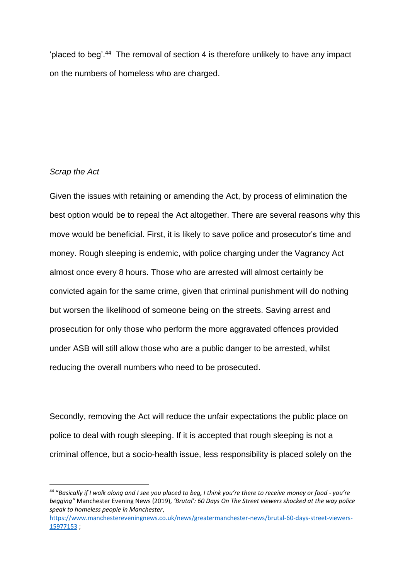'placed to beg'. <sup>44</sup> The removal of section 4 is therefore unlikely to have any impact on the numbers of homeless who are charged.

## *Scrap the Act*

Given the issues with retaining or amending the Act, by process of elimination the best option would be to repeal the Act altogether. There are several reasons why this move would be beneficial. First, it is likely to save police and prosecutor's time and money. Rough sleeping is endemic, with police charging under the Vagrancy Act almost once every 8 hours. Those who are arrested will almost certainly be convicted again for the same crime, given that criminal punishment will do nothing but worsen the likelihood of someone being on the streets. Saving arrest and prosecution for only those who perform the more aggravated offences provided under ASB will still allow those who are a public danger to be arrested, whilst reducing the overall numbers who need to be prosecuted.

Secondly, removing the Act will reduce the unfair expectations the public place on police to deal with rough sleeping. If it is accepted that rough sleeping is not a criminal offence, but a socio-health issue, less responsibility is placed solely on the

<sup>44</sup> "*Basically if I walk along and I see you placed to beg, I think you're there to receive money or food - you're begging"* Manchester Evening News (2019), *'Brutal': 60 Days On The Street viewers shocked at the way police speak to homeless people in Manchester*,

[https://www.manchestereveningnews.co.uk/news/greatermanchester-news/brutal-60-days-street-viewers-](https://www.manchestereveningnews.co.uk/news/greatermanchester-news/brutal-60-days-street-viewers-15977153)[15977153](https://www.manchestereveningnews.co.uk/news/greatermanchester-news/brutal-60-days-street-viewers-15977153) ;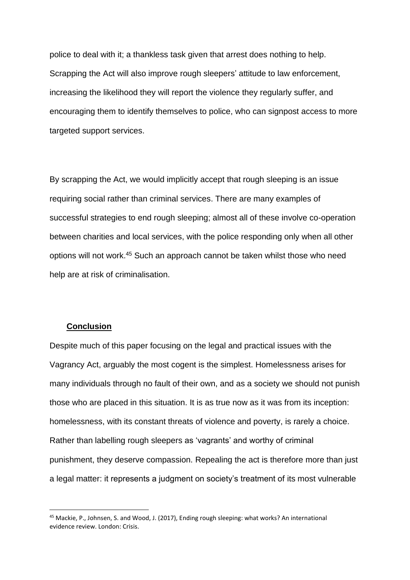police to deal with it; a thankless task given that arrest does nothing to help. Scrapping the Act will also improve rough sleepers' attitude to law enforcement, increasing the likelihood they will report the violence they regularly suffer, and encouraging them to identify themselves to police, who can signpost access to more targeted support services.

By scrapping the Act, we would implicitly accept that rough sleeping is an issue requiring social rather than criminal services. There are many examples of successful strategies to end rough sleeping; almost all of these involve co-operation between charities and local services, with the police responding only when all other options will not work. <sup>45</sup> Such an approach cannot be taken whilst those who need help are at risk of criminalisation.

#### **Conclusion**

Despite much of this paper focusing on the legal and practical issues with the Vagrancy Act, arguably the most cogent is the simplest. Homelessness arises for many individuals through no fault of their own, and as a society we should not punish those who are placed in this situation. It is as true now as it was from its inception: homelessness, with its constant threats of violence and poverty, is rarely a choice. Rather than labelling rough sleepers as 'vagrants' and worthy of criminal punishment, they deserve compassion. Repealing the act is therefore more than just a legal matter: it represents a judgment on society's treatment of its most vulnerable

<sup>45</sup> Mackie, P., Johnsen, S. and Wood, J. (2017), Ending rough sleeping: what works? An international evidence review. London: Crisis.